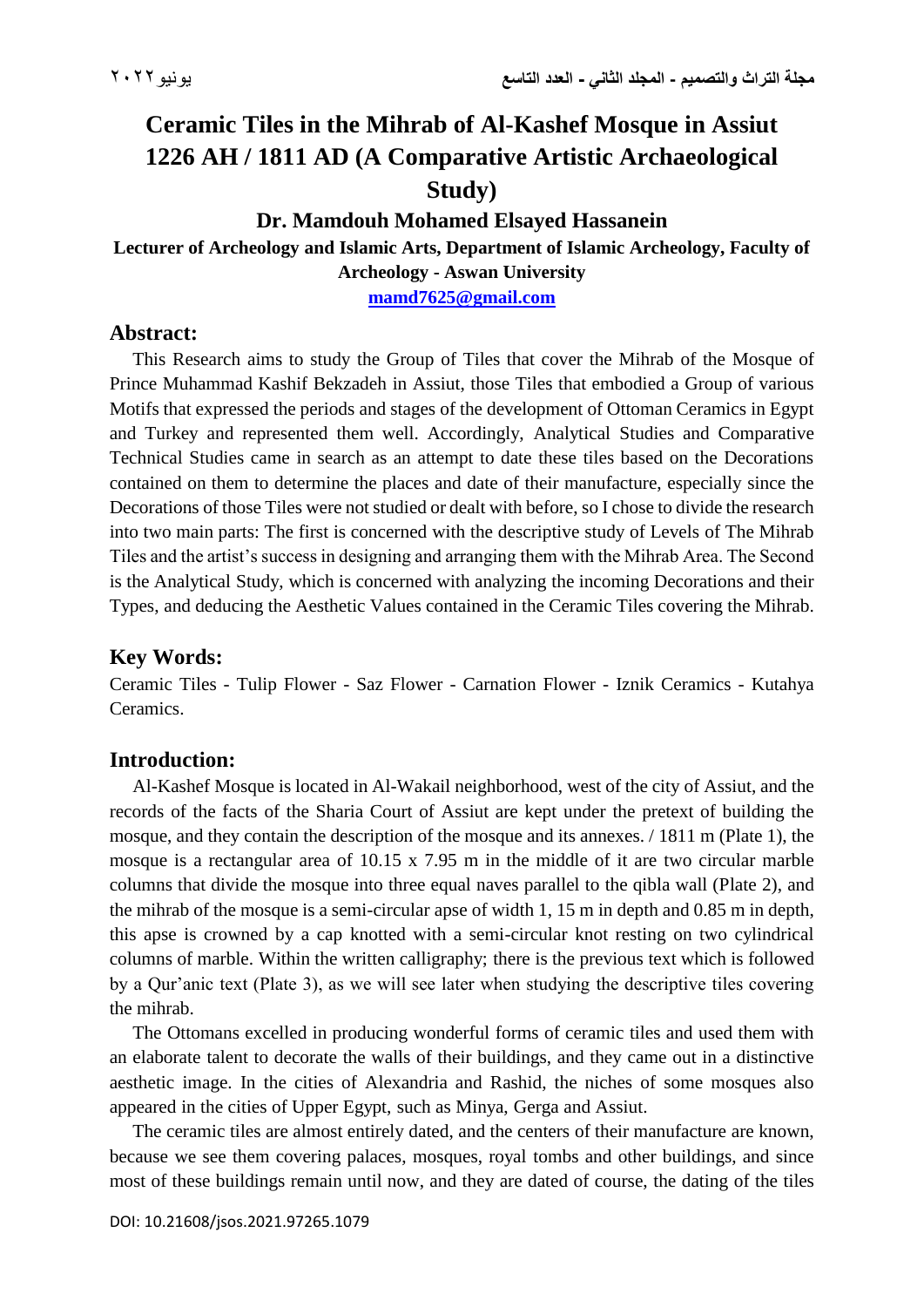# **Ceramic Tiles in the Mihrab of Al-Kashef Mosque in Assiut 1226 AH / 1811 AD (A Comparative Artistic Archaeological Study)**

## **Dr. Mamdouh Mohamed Elsayed Hassanein**

#### **Lecturer of Archeology and Islamic Arts, Department of Islamic Archeology, Faculty of Archeology - Aswan University**

**[mamd7625@gmail.com](mailto:mamd7625@gmail.com)**

## **Abstract:**

 This Research aims to study the Group of Tiles that cover the Mihrab of the Mosque of Prince Muhammad Kashif Bekzadeh in Assiut, those Tiles that embodied a Group of various Motifs that expressed the periods and stages of the development of Ottoman Ceramics in Egypt and Turkey and represented them well. Accordingly, Analytical Studies and Comparative Technical Studies came in search as an attempt to date these tiles based on the Decorations contained on them to determine the places and date of their manufacture, especially since the Decorations of those Tiles were not studied or dealt with before, so I chose to divide the research into two main parts: The first is concerned with the descriptive study of Levels of The Mihrab Tiles and the artist's success in designing and arranging them with the Mihrab Area. The Second is the Analytical Study, which is concerned with analyzing the incoming Decorations and their Types, and deducing the Aesthetic Values contained in the Ceramic Tiles covering the Mihrab.

## **Key Words:**

Ceramic Tiles - Tulip Flower - Saz Flower - Carnation Flower - Iznik Ceramics - Kutahya Ceramics.

## **Introduction:**

 Al-Kashef Mosque is located in Al-Wakail neighborhood, west of the city of Assiut, and the records of the facts of the Sharia Court of Assiut are kept under the pretext of building the mosque, and they contain the description of the mosque and its annexes. / 1811 m (Plate 1), the mosque is a rectangular area of 10.15 x 7.95 m in the middle of it are two circular marble columns that divide the mosque into three equal naves parallel to the qibla wall (Plate 2), and the mihrab of the mosque is a semi-circular apse of width 1, 15 m in depth and 0.85 m in depth, this apse is crowned by a cap knotted with a semi-circular knot resting on two cylindrical columns of marble. Within the written calligraphy; there is the previous text which is followed by a Qur'anic text (Plate 3), as we will see later when studying the descriptive tiles covering the mihrab.

 The Ottomans excelled in producing wonderful forms of ceramic tiles and used them with an elaborate talent to decorate the walls of their buildings, and they came out in a distinctive aesthetic image. In the cities of Alexandria and Rashid, the niches of some mosques also appeared in the cities of Upper Egypt, such as Minya, Gerga and Assiut.

 The ceramic tiles are almost entirely dated, and the centers of their manufacture are known, because we see them covering palaces, mosques, royal tombs and other buildings, and since most of these buildings remain until now, and they are dated of course, the dating of the tiles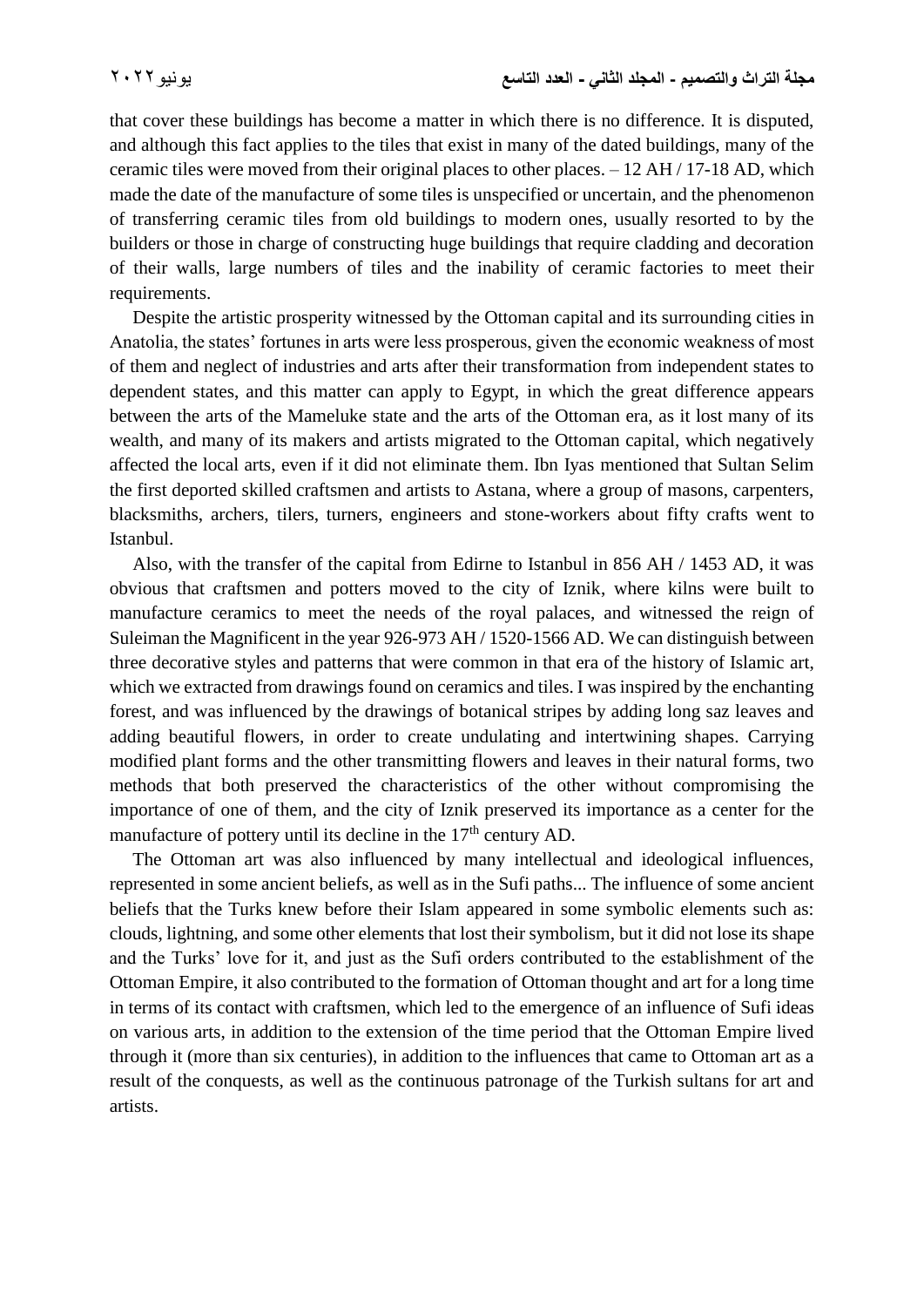that cover these buildings has become a matter in which there is no difference. It is disputed, and although this fact applies to the tiles that exist in many of the dated buildings, many of the ceramic tiles were moved from their original places to other places. – 12 AH / 17-18 AD, which made the date of the manufacture of some tiles is unspecified or uncertain, and the phenomenon of transferring ceramic tiles from old buildings to modern ones, usually resorted to by the builders or those in charge of constructing huge buildings that require cladding and decoration of their walls, large numbers of tiles and the inability of ceramic factories to meet their requirements.

 Despite the artistic prosperity witnessed by the Ottoman capital and its surrounding cities in Anatolia, the states' fortunes in arts were less prosperous, given the economic weakness of most of them and neglect of industries and arts after their transformation from independent states to dependent states, and this matter can apply to Egypt, in which the great difference appears between the arts of the Mameluke state and the arts of the Ottoman era, as it lost many of its wealth, and many of its makers and artists migrated to the Ottoman capital, which negatively affected the local arts, even if it did not eliminate them. Ibn Iyas mentioned that Sultan Selim the first deported skilled craftsmen and artists to Astana, where a group of masons, carpenters, blacksmiths, archers, tilers, turners, engineers and stone-workers about fifty crafts went to Istanbul.

 Also, with the transfer of the capital from Edirne to Istanbul in 856 AH / 1453 AD, it was obvious that craftsmen and potters moved to the city of Iznik, where kilns were built to manufacture ceramics to meet the needs of the royal palaces, and witnessed the reign of Suleiman the Magnificent in the year 926-973 AH / 1520-1566 AD. We can distinguish between three decorative styles and patterns that were common in that era of the history of Islamic art, which we extracted from drawings found on ceramics and tiles. I was inspired by the enchanting forest, and was influenced by the drawings of botanical stripes by adding long saz leaves and adding beautiful flowers, in order to create undulating and intertwining shapes. Carrying modified plant forms and the other transmitting flowers and leaves in their natural forms, two methods that both preserved the characteristics of the other without compromising the importance of one of them, and the city of Iznik preserved its importance as a center for the manufacture of pottery until its decline in the  $17<sup>th</sup>$  century AD.

 The Ottoman art was also influenced by many intellectual and ideological influences, represented in some ancient beliefs, as well as in the Sufi paths... The influence of some ancient beliefs that the Turks knew before their Islam appeared in some symbolic elements such as: clouds, lightning, and some other elements that lost their symbolism, but it did not lose its shape and the Turks' love for it, and just as the Sufi orders contributed to the establishment of the Ottoman Empire, it also contributed to the formation of Ottoman thought and art for a long time in terms of its contact with craftsmen, which led to the emergence of an influence of Sufi ideas on various arts, in addition to the extension of the time period that the Ottoman Empire lived through it (more than six centuries), in addition to the influences that came to Ottoman art as a result of the conquests, as well as the continuous patronage of the Turkish sultans for art and artists.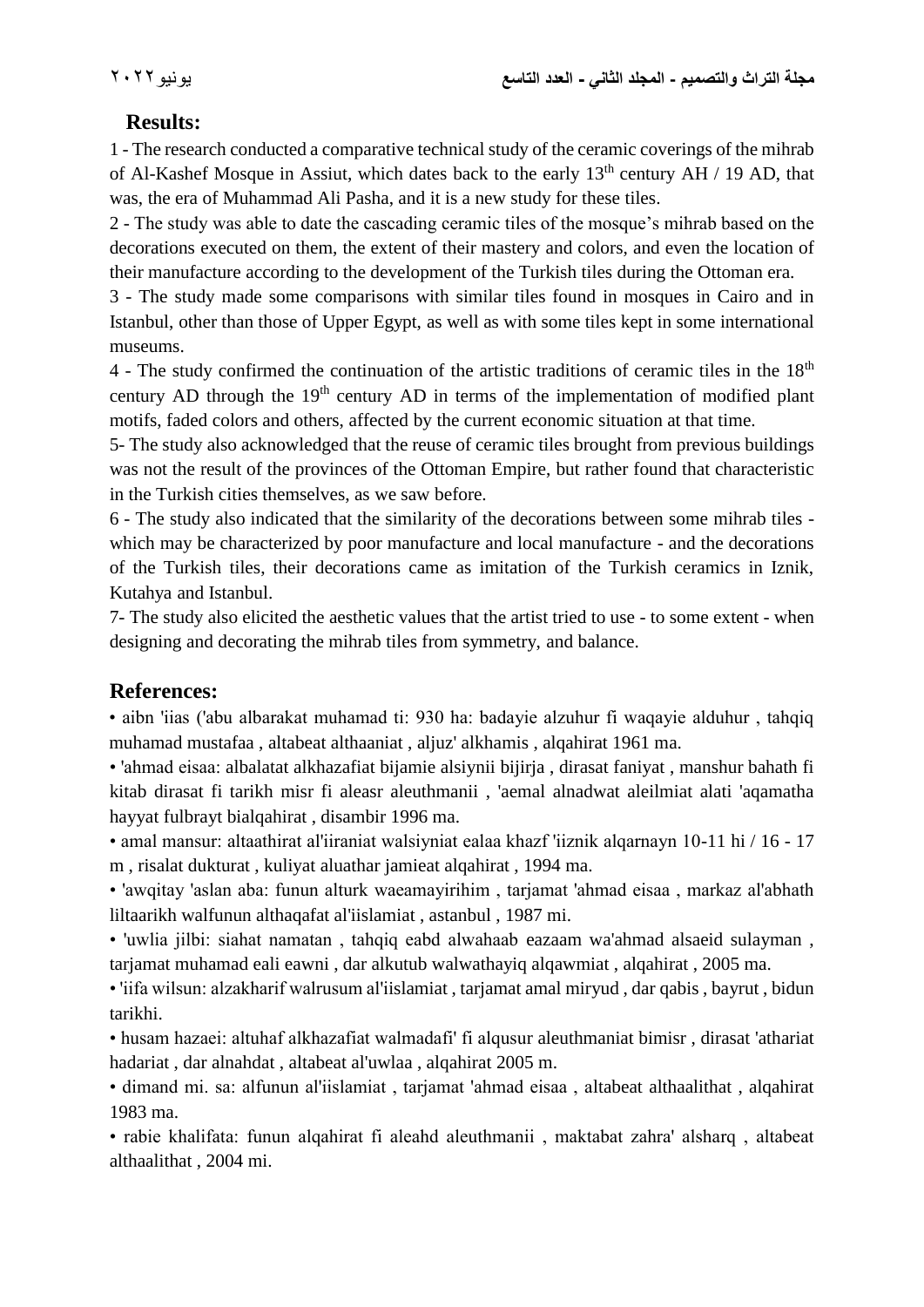## **Results:**

1 - The research conducted a comparative technical study of the ceramic coverings of the mihrab of Al-Kashef Mosque in Assiut, which dates back to the early 13<sup>th</sup> century AH / 19 AD, that was, the era of Muhammad Ali Pasha, and it is a new study for these tiles.

2 - The study was able to date the cascading ceramic tiles of the mosque's mihrab based on the decorations executed on them, the extent of their mastery and colors, and even the location of their manufacture according to the development of the Turkish tiles during the Ottoman era.

3 - The study made some comparisons with similar tiles found in mosques in Cairo and in Istanbul, other than those of Upper Egypt, as well as with some tiles kept in some international museums.

4 - The study confirmed the continuation of the artistic traditions of ceramic tiles in the  $18<sup>th</sup>$ century AD through the  $19<sup>th</sup>$  century AD in terms of the implementation of modified plant motifs, faded colors and others, affected by the current economic situation at that time.

5- The study also acknowledged that the reuse of ceramic tiles brought from previous buildings was not the result of the provinces of the Ottoman Empire, but rather found that characteristic in the Turkish cities themselves, as we saw before.

6 - The study also indicated that the similarity of the decorations between some mihrab tiles which may be characterized by poor manufacture and local manufacture - and the decorations of the Turkish tiles, their decorations came as imitation of the Turkish ceramics in Iznik, Kutahya and Istanbul.

7- The study also elicited the aesthetic values that the artist tried to use - to some extent - when designing and decorating the mihrab tiles from symmetry, and balance.

## **References:**

• aibn 'iias ('abu albarakat muhamad ti: 930 ha: badayie alzuhur fi waqayie alduhur , tahqiq muhamad mustafaa , altabeat althaaniat , aljuz' alkhamis , alqahirat 1961 ma.

• 'ahmad eisaa: albalatat alkhazafiat bijamie alsiynii bijirja , dirasat faniyat , manshur bahath fi kitab dirasat fi tarikh misr fi aleasr aleuthmanii , 'aemal alnadwat aleilmiat alati 'aqamatha hayyat fulbrayt bialqahirat , disambir 1996 ma.

• amal mansur: altaathirat al'iiraniat walsiyniat ealaa khazf 'iiznik alqarnayn 10-11 hi / 16 - 17 m , risalat dukturat , kuliyat aluathar jamieat alqahirat , 1994 ma.

• 'awqitay 'aslan aba: funun alturk waeamayirihim , tarjamat 'ahmad eisaa , markaz al'abhath liltaarikh walfunun althaqafat al'iislamiat , astanbul , 1987 mi.

• 'uwlia jilbi: siahat namatan , tahqiq eabd alwahaab eazaam wa'ahmad alsaeid sulayman , tarjamat muhamad eali eawni , dar alkutub walwathayiq alqawmiat , alqahirat , 2005 ma.

• 'iifa wilsun: alzakharif walrusum al'iislamiat , tarjamat amal miryud , dar qabis , bayrut , bidun tarikhi.

• husam hazaei: altuhaf alkhazafiat walmadafi' fi alqusur aleuthmaniat bimisr , dirasat 'athariat hadariat , dar alnahdat , altabeat al'uwlaa , alqahirat 2005 m.

• dimand mi. sa: alfunun al'iislamiat , tarjamat 'ahmad eisaa , altabeat althaalithat , alqahirat 1983 ma.

• rabie khalifata: funun alqahirat fi aleahd aleuthmanii , maktabat zahra' alsharq , altabeat althaalithat , 2004 mi.